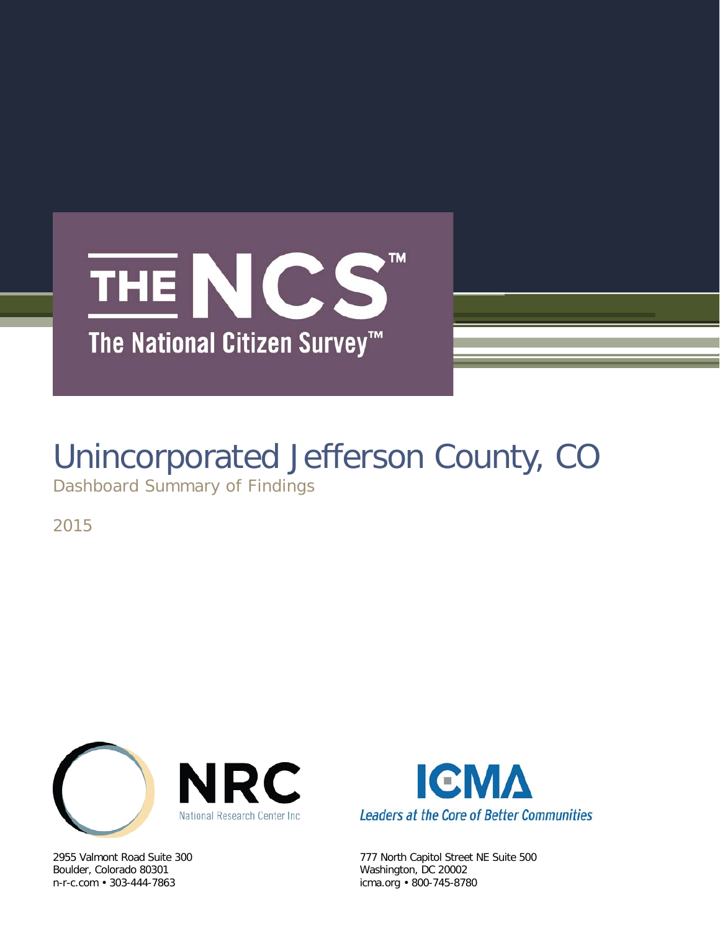

# Unincorporated Jefferson County, CO

Dashboard Summary of Findings

2015



Boulder, Colorado 80301 Washington, DC 20002



2955 Valmont Road Suite 300 777 North Capitol Street NE Suite 500 icma.org • 800-745-8780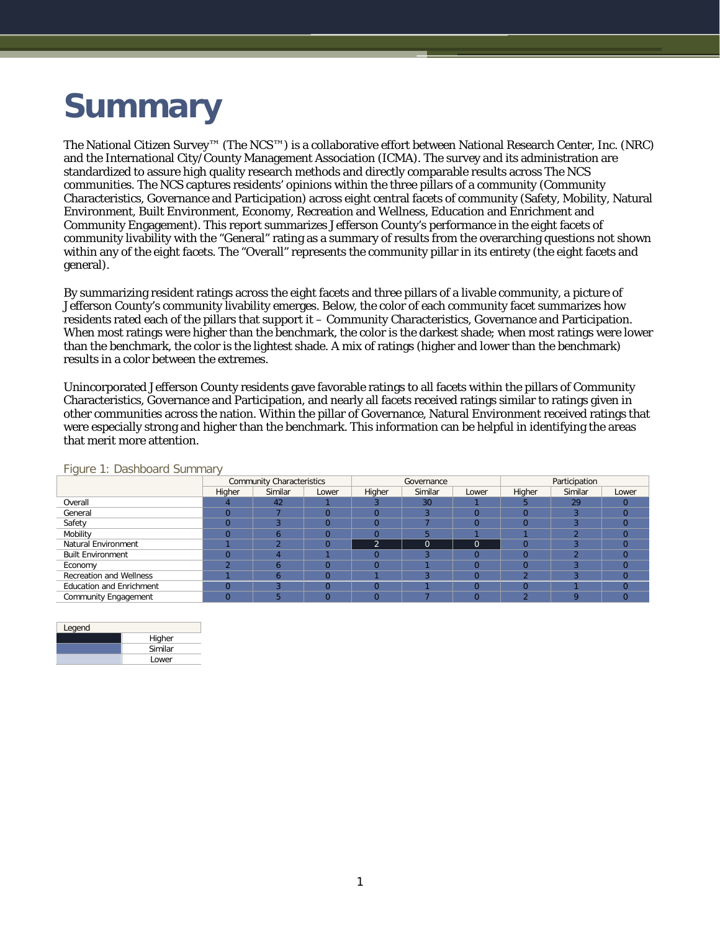## **Summary**

The National Citizen Survey™ (The NCS™) is a collaborative effort between National Research Center, Inc. (NRC) and the International City/County Management Association (ICMA). The survey and its administration are standardized to assure high quality research methods and directly comparable results across The NCS communities. The NCS captures residents' opinions within the three pillars of a community (Community Characteristics, Governance and Participation) across eight central facets of community (Safety, Mobility, Natural Environment, Built Environment, Economy, Recreation and Wellness, Education and Enrichment and Community Engagement). This report summarizes Jefferson County's performance in the eight facets of community livability with the "General" rating as a summary of results from the overarching questions not shown within any of the eight facets. The "Overall" represents the community pillar in its entirety (the eight facets and general).

By summarizing resident ratings across the eight facets and three pillars of a livable community, a picture of Jefferson County's community livability emerges. Below, the color of each community facet summarizes how residents rated each of the pillars that support it – Community Characteristics, Governance and Participation. When most ratings were higher than the benchmark, the color is the darkest shade; when most ratings were lower than the benchmark, the color is the lightest shade. A mix of ratings (higher and lower than the benchmark) results in a color between the extremes.

Unincorporated Jefferson County residents gave favorable ratings to all facets within the pillars of Community Characteristics, Governance and Participation, and nearly all facets received ratings similar to ratings given in other communities across the nation. Within the pillar of Governance, Natural Environment received ratings that were especially strong and higher than the benchmark. This information can be helpful in identifying the areas that merit more attention.

|                                 |        | <b>Community Characteristics</b> |          |          | Governance |       | Participation |         |       |  |
|---------------------------------|--------|----------------------------------|----------|----------|------------|-------|---------------|---------|-------|--|
|                                 | Higher | Similar                          | Lower    | Higher   | Similar    | Lower | Higher        | Similar | Lower |  |
| Overall                         |        | 42                               |          |          | 30         |       |               | 29      |       |  |
| General                         |        |                                  |          |          |            |       |               |         |       |  |
| Safety                          |        |                                  | $\Omega$ |          |            |       |               |         |       |  |
| Mobility                        |        | n                                | $\Omega$ |          |            |       |               |         |       |  |
| <b>Natural Environment</b>      |        |                                  | $\Omega$ | $\Omega$ |            |       |               |         |       |  |
| <b>Built Environment</b>        |        |                                  |          |          |            |       |               |         |       |  |
| Economy                         |        |                                  |          |          |            |       |               |         |       |  |
| Recreation and Wellness         |        |                                  |          |          |            |       |               |         |       |  |
| <b>Education and Enrichment</b> |        |                                  | $\Omega$ | O        |            |       |               |         |       |  |
| <b>Community Engagement</b>     |        |                                  |          |          |            |       |               | O       |       |  |

Figure 1: Dashboard Summary

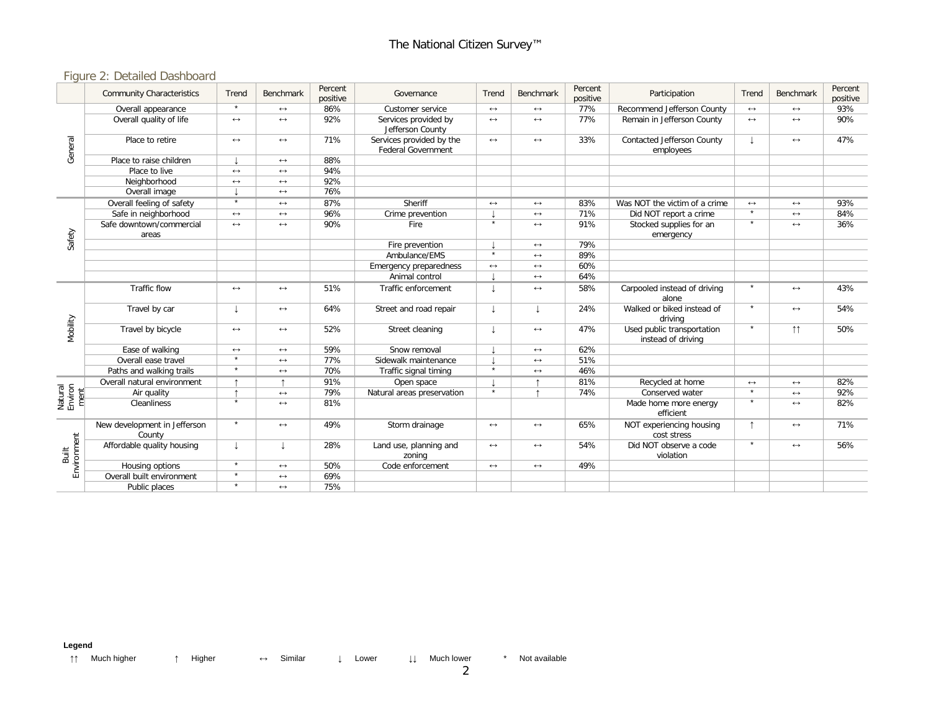### Figure 2: Detailed Dashboard

|                            | <b>Community Characteristics</b>       | Trend                 | Benchmark             | Percent<br>positive | Governance                                            | Trend                 | Benchmark             | Percent<br>positive | Participation                                    | Trend             | Benchmark             | Percent<br>positive |
|----------------------------|----------------------------------------|-----------------------|-----------------------|---------------------|-------------------------------------------------------|-----------------------|-----------------------|---------------------|--------------------------------------------------|-------------------|-----------------------|---------------------|
| General                    | Overall appearance                     | $\star$               | $\leftrightarrow$     | 86%                 | Customer service                                      | $\longleftrightarrow$ | $\leftrightarrow$     | 77%                 | Recommend Jefferson County                       | $\leftrightarrow$ | $\longleftrightarrow$ | 93%                 |
|                            | Overall quality of life                | $\longleftrightarrow$ | $\longleftrightarrow$ | 92%                 | Services provided by<br>Jefferson County              | $\leftrightarrow$     | $\leftrightarrow$     | 77%                 | Remain in Jefferson County                       | $\leftrightarrow$ | $\leftrightarrow$     | 90%                 |
|                            | Place to retire                        | $\leftrightarrow$     | $\leftrightarrow$     | 71%                 | Services provided by the<br><b>Federal Government</b> | $\longleftrightarrow$ | $\leftrightarrow$     | 33%                 | Contacted Jefferson County<br>employees          |                   | $\leftrightarrow$     | 47%                 |
|                            | Place to raise children                |                       | $\leftrightarrow$     | 88%                 |                                                       |                       |                       |                     |                                                  |                   |                       |                     |
|                            | Place to live                          | $\leftrightarrow$     | $\leftrightarrow$     | 94%                 |                                                       |                       |                       |                     |                                                  |                   |                       |                     |
|                            | Neighborhood                           | $\leftrightarrow$     | $\leftrightarrow$     | 92%                 |                                                       |                       |                       |                     |                                                  |                   |                       |                     |
|                            | Overall image                          |                       | $\longleftrightarrow$ | 76%                 |                                                       |                       |                       |                     |                                                  |                   |                       |                     |
| Safety                     | Overall feeling of safety              | $\star$               | $\leftrightarrow$     | 87%                 | Sheriff                                               | $\longleftrightarrow$ | $\leftrightarrow$     | 83%                 | Was NOT the victim of a crime                    | $\leftrightarrow$ | $\longleftrightarrow$ | 93%                 |
|                            | Safe in neighborhood                   | $\leftrightarrow$     | $\longleftrightarrow$ | 96%                 | Crime prevention                                      |                       | $\leftrightarrow$     | 71%                 | Did NOT report a crime                           | $\bullet$         | $\longleftrightarrow$ | 84%                 |
|                            | Safe downtown/commercial<br>areas      | $\leftrightarrow$     | $\longleftrightarrow$ | 90%                 | Fire                                                  | $\star$               | $\leftrightarrow$     | 91%                 | Stocked supplies for an<br>emergency             | $\star$           | $\leftrightarrow$     | 36%                 |
|                            |                                        |                       |                       |                     | Fire prevention                                       |                       | $\leftrightarrow$     | 79%                 |                                                  |                   |                       |                     |
|                            |                                        |                       |                       |                     | Ambulance/EMS                                         | $\star$               | $\leftrightarrow$     | 89%                 |                                                  |                   |                       |                     |
|                            |                                        |                       |                       |                     | Emergency preparedness                                | $\longleftrightarrow$ | $\leftrightarrow$     | 60%                 |                                                  |                   |                       |                     |
|                            |                                        |                       |                       |                     | Animal control                                        |                       | $\leftrightarrow$     | 64%                 |                                                  |                   |                       |                     |
| Mobility                   | Traffic flow                           | $\longleftrightarrow$ | $\leftrightarrow$     | 51%                 | Traffic enforcement                                   |                       | $\leftrightarrow$     | 58%                 | Carpooled instead of driving<br>alone            | $\star$           | $\leftrightarrow$     | 43%                 |
|                            | Travel by car                          | T                     | $\leftrightarrow$     | 64%                 | Street and road repair                                |                       | $\perp$               | 24%                 | Walked or biked instead of<br>drivina            | $\star$           | $\leftrightarrow$     | 54%                 |
|                            | Travel by bicycle                      | $\longleftrightarrow$ | $\leftrightarrow$     | 52%                 | Street cleaning                                       |                       | $\leftrightarrow$     | 47%                 | Used public transportation<br>instead of driving |                   | $\uparrow \uparrow$   | 50%                 |
|                            | Ease of walking                        | $\longleftrightarrow$ | $\longleftrightarrow$ | 59%                 | Snow removal                                          |                       | $\leftrightarrow$     | 62%                 |                                                  |                   |                       |                     |
|                            | Overall ease travel                    | $\overline{\ast}$     | $\longleftrightarrow$ | 77%                 | Sidewalk maintenance                                  |                       | $\leftrightarrow$     | 51%                 |                                                  |                   |                       |                     |
|                            | Paths and walking trails               | $\star$               | $\longleftrightarrow$ | 70%                 | Traffic signal timing                                 | $\star$               | $\leftrightarrow$     | 46%                 |                                                  |                   |                       |                     |
|                            | Overall natural environment            |                       |                       | 91%                 | Open space                                            |                       |                       | 81%                 | Recycled at home                                 | $\leftrightarrow$ | $\longleftrightarrow$ | 82%                 |
|                            | Air quality                            |                       | $\longleftrightarrow$ | 79%                 | Natural areas preservation                            | $\star$               |                       | 74%                 | Conserved water                                  | $\bullet$         | $\leftrightarrow$     | 92%                 |
| Natural<br>Environ<br>ment | Cleanliness                            | $\star$               | $\longleftrightarrow$ | 81%                 |                                                       |                       |                       |                     | Made home more energy<br>efficient               | $\star$           | $\longleftrightarrow$ | 82%                 |
| Environment<br>Built       | New development in Jefferson<br>County | $\star$               | $\longleftrightarrow$ | 49%                 | Storm drainage                                        | $\longleftrightarrow$ | $\leftrightarrow$     | 65%                 | NOT experiencing housing<br>cost stress          |                   | $\longleftrightarrow$ | 71%                 |
|                            | Affordable quality housing             | T                     | J.                    | 28%                 | Land use, planning and<br>zoning                      | $\longleftrightarrow$ | $\leftrightarrow$     | 54%                 | Did NOT observe a code<br>violation              | $\star$           | $\leftrightarrow$     | 56%                 |
|                            | Housing options                        | $\star$               | $\longleftrightarrow$ | 50%                 | Code enforcement                                      | $\longleftrightarrow$ | $\longleftrightarrow$ | 49%                 |                                                  |                   |                       |                     |
|                            | Overall built environment              | $\star$               | $\longleftrightarrow$ | 69%                 |                                                       |                       |                       |                     |                                                  |                   |                       |                     |
|                            | Public places                          | $\star$               | $\leftrightarrow$     | 75%                 |                                                       |                       |                       |                     |                                                  |                   |                       |                     |

**Legend**

↑↑ Much higher ↑ Higher ↔ Similar ↓ Lower ↓↓ Much lower \* Not available

2